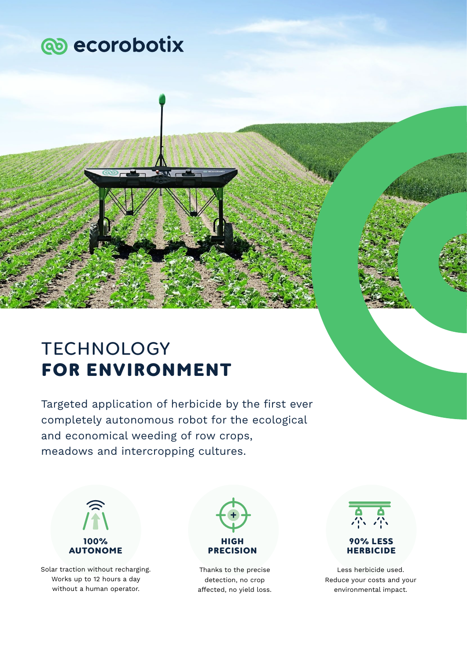

# **TECHNOLOGY FOR ENVIRONMENT**

Targeted application of herbicide by the first ever completely autonomous robot for the ecological and economical weeding of row crops, meadows and intercropping cultures.



Solar traction without recharging. Works up to 12 hours a day without a human operator.



Thanks to the precise detection, no crop affected, no yield loss.



Less herbicide used. Reduce your costs and your environmental impact.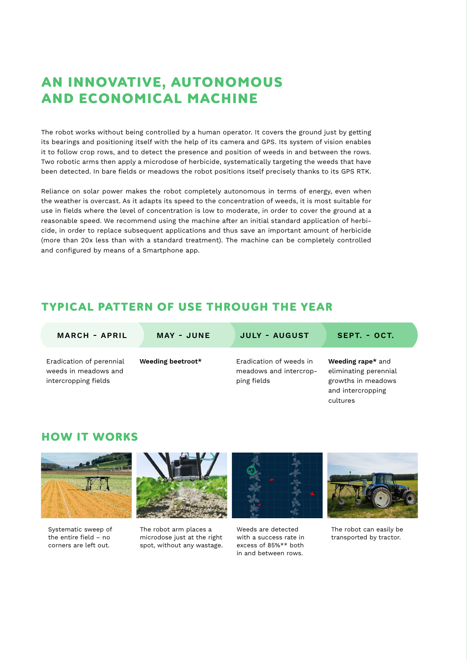## **AN INNOVATIVE, AUTONOMOUS AND ECONOMICAL MACHINE**

The robot works without being controlled by a human operator. It covers the ground just by getting its bearings and positioning itself with the help of its camera and GPS. Its system of vision enables it to follow crop rows, and to detect the presence and position of weeds in and between the rows. Two robotic arms then apply a microdose of herbicide, systematically targeting the weeds that have been detected. In bare fields or meadows the robot positions itself precisely thanks to its GPS RTK.

Reliance on solar power makes the robot completely autonomous in terms of energy, even when the weather is overcast. As it adapts its speed to the concentration of weeds, it is most suitable for use in fields where the level of concentration is low to moderate, in order to cover the ground at a reasonable speed. We recommend using the machine after an initial standard application of herbicide, in order to replace subsequent applications and thus save an important amount of herbicide (more than 20x less than with a standard treatment). The machine can be completely controlled and configured by means of a Smartphone app.

### **TYPICAL PATTERN OF USE THROUGH THE YEAR**

| <b>MARCH - APRIL</b>                                                     | MAY - JUNE        | <b>JULY - AUGUST</b>                                             | SEPT. - OCT.                                                                                      |
|--------------------------------------------------------------------------|-------------------|------------------------------------------------------------------|---------------------------------------------------------------------------------------------------|
| Eradication of perennial<br>weeds in meadows and<br>intercropping fields | Weeding beetroot* | Eradication of weeds in<br>meadows and intercrop-<br>ping fields | Weeding rape* and<br>eliminating perennial<br>growths in meadows<br>and intercropping<br>cultures |

#### **HOW IT WORKS**



Systematic sweep of the entire field – no corners are left out.



The robot arm places a microdose just at the right spot, without any wastage.



Weeds are detected with a success rate in excess of 85%\*\* both in and between rows.



The robot can easily be transported by tractor.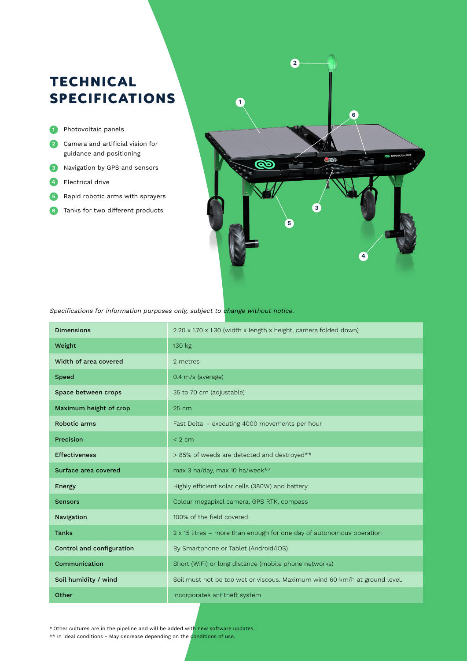## **TECHNICAL SPECIFICATIONS**

- Photovoltaic panels **1**
- Camera and artificial vision for **2** guidance and positioning
- Navigation by GPS and sensors **3**
- Electrical drive **4**
- Rapid robotic arms with sprayers **5**
- Tanks for two different products **6**



Specifications for information purposes only, subject to change without notice.

| <b>Dimensions</b>         | 2.20 x 1.70 x 1.30 (width x length x height, camera folded down)            |  |
|---------------------------|-----------------------------------------------------------------------------|--|
| Weight                    | 130 kg                                                                      |  |
| Width of area covered     | 2 metres                                                                    |  |
| <b>Speed</b>              | 0.4 m/s (average)                                                           |  |
| Space between crops       | 35 to 70 cm (adjustable)                                                    |  |
| Maximum height of crop    | 25 cm                                                                       |  |
| Robotic arms              | Fast Delta - executing 4000 movements per hour                              |  |
| Precision                 | < 2 cm                                                                      |  |
| <b>Effectiveness</b>      | > 85% of weeds are detected and destroyed**                                 |  |
| Surface area covered      | max 3 ha/day, max 10 ha/week**                                              |  |
| Energy                    | Highly efficient solar cells (380W) and battery                             |  |
| <b>Sensors</b>            | Colour megapixel camera, GPS RTK, compass                                   |  |
| Navigation                | 100% of the field covered                                                   |  |
| <b>Tanks</b>              | $2 \times 15$ litres – more than enough for one day of autonomous operation |  |
| Control and configuration | By Smartphone or Tablet (Android/iOS)                                       |  |
| Communication             | Short (WiFi) or long distance (mobile phone networks)                       |  |
| Soil humidity / wind      | Soil must not be too wet or viscous. Maximum wind 60 km/h at ground level.  |  |
| Other                     | Incorporates antitheft system                                               |  |

\* Other cultures are in the pipeline and will be added with new software updates.

\*\* In ideal conditions - May decrease depending on the conditions of use.